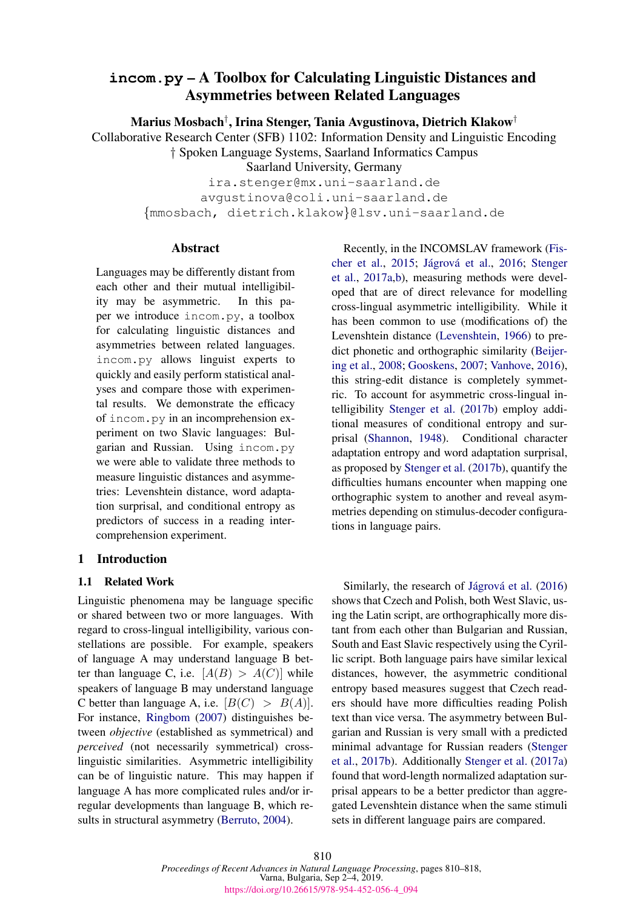# **incom.py** – A Toolbox for Calculating Linguistic Distances and Asymmetries between Related Languages

Marius Mosbach*†* , Irina Stenger, Tania Avgustinova, Dietrich Klakow*†*

Collaborative Research Center (SFB) 1102: Information Density and Linguistic Encoding *†* Spoken Language Systems, Saarland Informatics Campus

Saarland University, Germany

ira.stenger@mx.uni-saarland.de avgustinova@coli.uni-saarland.de *{*mmosbach, dietrich.klakow*}*@lsv.uni-saarland.de

#### Abstract

Languages may be differently distant from each other and their mutual intelligibility may be asymmetric. In this paper we introduce incom.py, a toolbox for calculating linguistic distances and asymmetries between related languages. incom.py allows linguist experts to quickly and easily perform statistical analyses and compare those with experimental results. We demonstrate the efficacy of incom.py in an incomprehension experiment on two Slavic languages: Bulgarian and Russian. Using incom.py we were able to validate three methods to measure linguistic distances and asymmetries: Levenshtein distance, word adaptation surprisal, and conditional entropy as predictors of success in a reading intercomprehension experiment.

# 1 Introduction

# 1.1 Related Work

Linguistic phenomena may be language specific or shared between two or more languages. With regard to cross-lingual intelligibility, various constellations are possible. For example, speakers of language A may understand language B better than language C, i.e.  $[A(B) > A(C)]$  while speakers of language B may understand language C better than language A, i.e.  $[B(C) > B(A)].$ For instance, [Ringbom](#page-8-0) [\(2007](#page-8-0)) distinguishes between *objective* (established as symmetrical) and *perceived* (not necessarily symmetrical) crosslinguistic similarities. Asymmetric intelligibility can be of linguistic nature. This may happen if language A has more complicated rules and/or irregular developments than language B, which results in structural asymmetry ([Berruto](#page-8-1), [2004](#page-8-1)).

Recently, in the [INCOMSLAV](#page-8-2) framework (Fis-cher et al., [2015](#page-8-2); Jágrová et al., [2016](#page-8-3); Stenger et al., [2017a](#page-8-4)[,b\)](#page-8-5), measuring methods were developed that are of direct relevance for modelling cross-lingual asymmetric intelligibility. While it has been common to use (modifications of) the Levenshtein distance [\(Levenshtein,](#page-8-6) [1966](#page-8-6)) to predict phonetic and [orthographic](#page-8-7) similarity (Beijering et al., [2008](#page-8-7); [Gooskens](#page-8-8), [2007](#page-8-8); [Vanhove,](#page-8-9) [2016](#page-8-9)), this string-edit distance is completely symmetric. To account for asymmetric cross-lingual intelligibility [Stenger](#page-8-5) et al. [\(2017b](#page-8-5)) employ additional measures of conditional entropy and surprisal ([Shannon](#page-8-10), [1948](#page-8-10)). Conditional character adaptation entropy and word adaptation surprisal, as proposed by [Stenger](#page-8-5) et al. [\(2017b\)](#page-8-5), quantify the difficulties humans encounter when mapping one orthographic system to another and reveal asymmetries depending on stimulus-decoder configurations in language pairs.

Similarly, the research of Jágrová et al. [\(2016\)](#page-8-3) shows that Czech and Polish, both West Slavic, using the Latin script, are orthographically more distant from each other than Bulgarian and Russian, South and East Slavic respectively using the Cyrillic script. Both language pairs have similar lexical distances, however, the asymmetric conditional entropy based measures suggest that Czech readers should have more difficulties reading Polish text than vice versa. The asymmetry between Bulgarian and Russian is very small with a predicted minimal [advantage](#page-8-5) for Russian readers (Stenger et al., [2017b\)](#page-8-5). Additionally [Stenger](#page-8-4) et al. [\(2017a\)](#page-8-4) found that word-length normalized adaptation surprisal appears to be a better predictor than aggregated Levenshtein distance when the same stimuli sets in different language pairs are compared.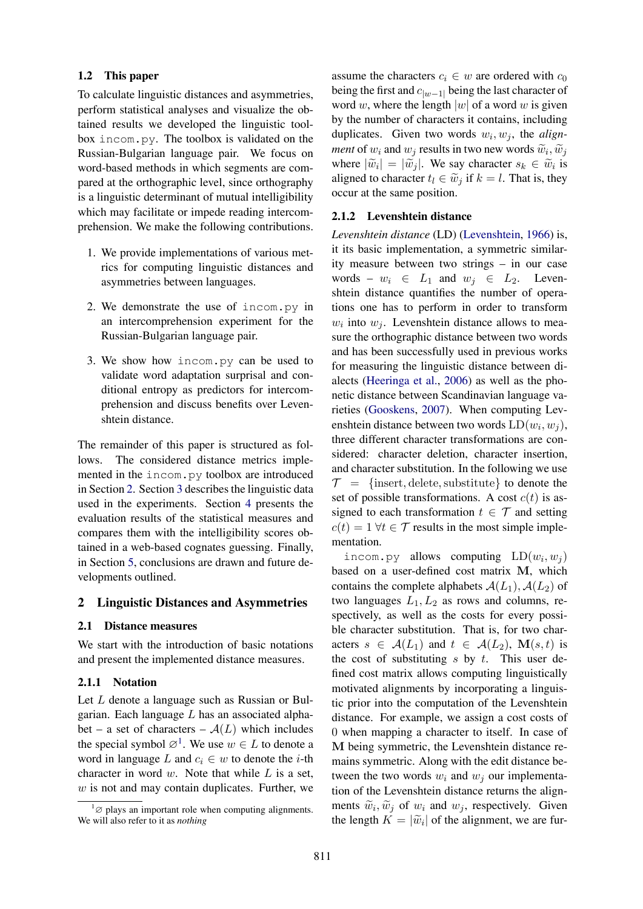### 1.2 This paper

To calculate linguistic distances and asymmetries, perform statistical analyses and visualize the obtained results we developed the linguistic toolbox incom.py. The toolbox is validated on the Russian-Bulgarian language pair. We focus on word-based methods in which segments are compared at the orthographic level, since orthography is a linguistic determinant of mutual intelligibility which may facilitate or impede reading intercomprehension. We make the following contributions.

- 1. We provide implementations of various metrics for computing linguistic distances and asymmetries between languages.
- 2. We demonstrate the use of incom.py in an intercomprehension experiment for the Russian-Bulgarian language pair.
- 3. We show how incom.py can be used to validate word adaptation surprisal and conditional entropy as predictors for intercomprehension and discuss benefits over Levenshtein distance.

The remainder of this paper is structured as follows. The considered distance metrics implemented in the incom.py toolbox are introduced in Section [2.](#page-1-0) Section [3](#page-3-0) describes the linguistic data used in the experiments. Section [4](#page-4-0) presents the evaluation results of the statistical measures and compares them with the intelligibility scores obtained in a web-based cognates guessing. Finally, in Section [5,](#page-7-0) conclusions are drawn and future developments outlined.

# <span id="page-1-0"></span>2 Linguistic Distances and Asymmetries

#### 2.1 Distance measures

We start with the introduction of basic notations and present the implemented distance measures.

# 2.1.1 Notation

Let *L* denote a language such as Russian or Bulgarian. Each language *L* has an associated alphabet – a set of characters –  $A(L)$  which includes the special symbol  $\varnothing^1$  $\varnothing^1$ . We use  $w \in L$  to denote a word in language *L* and  $c_i \in w$  to denote the *i*-th character in word *w*. Note that while *L* is a set, *w* is not and may contain duplicates. Further, we

assume the characters  $c_i \in w$  are ordered with  $c_0$ being the first and  $c_{|w-1|}$  being the last character of word *w*, where the length  $|w|$  of a word *w* is given by the number of characters it contains, including duplicates. Given two words  $w_i, w_j$ , the *alignment* of  $w_i$  and  $w_j$  results in two new words  $\widetilde{w}_i$ ,  $\widetilde{w}_j$ where  $|\widetilde{w}_i| = |\widetilde{w}_i|$ . We say character  $s_k \in \widetilde{w}_i$  is aligned to character  $t_l \in \tilde{w}_j$  if  $k = l$ . That is, they occur at the same position.

#### 2.1.2 Levenshtein distance

*Levenshtein distance* (LD) [\(Levenshtein,](#page-8-6) [1966](#page-8-6)) is, it its basic implementation, a symmetric similarity measure between two strings – in our case words –  $w_i \in L_1$  and  $w_j \in L_2$ . Levenshtein distance quantifies the number of operations one has to perform in order to transform  $w_i$  into  $w_j$ . Levenshtein distance allows to measure the orthographic distance between two words and has been successfully used in previous works for measuring the linguistic distance between dialects [\(Heeringa](#page-8-11) et al., [2006](#page-8-11)) as well as the phonetic distance between Scandinavian language varieties [\(Gooskens](#page-8-8), [2007](#page-8-8)). When computing Levenshtein distance between two words  $LD(w_i, w_j)$ , three different character transformations are considered: character deletion, character insertion, and character substitution. In the following we use  $\mathcal{T}$  = {insert, delete, substitute} to denote the set of possible transformations. A cost  $c(t)$  is assigned to each transformation  $t \in \mathcal{T}$  and setting  $c(t) = 1 \,\forall t \in \mathcal{T}$  results in the most simple implementation.

incom.py allows computing  $LD(w_i, w_j)$ based on a user-defined cost matrix M, which contains the complete alphabets  $A(L_1)$ ,  $A(L_2)$  of two languages  $L_1, L_2$  as rows and columns, respectively, as well as the costs for every possible character substitution. That is, for two characters  $s \in \mathcal{A}(L_1)$  and  $t \in \mathcal{A}(L_2)$ ,  $\mathbf{M}(s,t)$  is the cost of substituting *s* by *t*. This user defined cost matrix allows computing linguistically motivated alignments by incorporating a linguistic prior into the computation of the Levenshtein distance. For example, we assign a cost costs of 0 when mapping a character to itself. In case of M being symmetric, the Levenshtein distance remains symmetric. Along with the edit distance between the two words  $w_i$  and  $w_j$  our implementation of the Levenshtein distance returns the alignments  $\widetilde{w}_i, \widetilde{w}_j$  of  $w_i$  and  $w_j$ , respectively. Given the length  $K = |\tilde{w}_i|$  of the alignment, we are fur-

<span id="page-1-1"></span> $1\varnothing$  plays an important role when computing alignments. We will also refer to it as *nothing*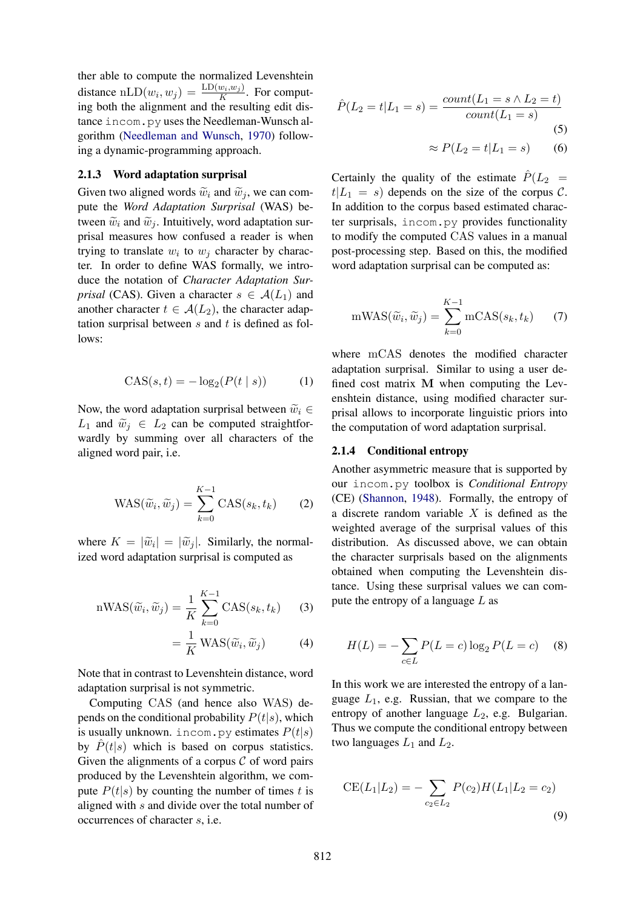ther able to compute the normalized Levenshtein distance  $nLD(w_i, w_j) = \frac{LD(w_i, w_j)}{K}$ . For computing both the alignment and the resulting edit distance incom.py uses the Needleman-Wunsch algorithm [\(Needleman](#page-8-12) and Wunsch, [1970\)](#page-8-12) following a dynamic-programming approach.

#### 2.1.3 Word adaptation surprisal

Given two aligned words  $\widetilde{w}_i$  and  $\widetilde{w}_j$ , we can compute the *Word Adaptation Surprisal* (WAS) between  $\widetilde{w}_i$  and  $\widetilde{w}_j$ . Intuitively, word adaptation surprisal measures how confused a reader is when trying to translate  $w_i$  to  $w_j$  character by character. In order to define WAS formally, we introduce the notation of *Character Adaptation Surprisal* (CAS). Given a character  $s \in A(L_1)$  and another character  $t \in \mathcal{A}(L_2)$ , the character adaptation surprisal between *s* and *t* is defined as follows:

$$
CAS(s,t) = -\log_2(P(t \mid s))\tag{1}
$$

Now, the word adaptation surprisal between  $\widetilde{w}_i \in$ *L*<sub>1</sub> and  $\widetilde{w}_j \in L_2$  can be computed straightforwardly by summing over all characters of the aligned word pair, i.e.

$$
\text{WAS}(\widetilde{w}_i, \widetilde{w}_j) = \sum_{k=0}^{K-1} \text{CAS}(s_k, t_k) \qquad (2)
$$

where  $K = |\tilde{w}_i| = |\tilde{w}_i|$ . Similarly, the normalized word adaptation surprisal is computed as

$$
nWAS(\widetilde{w}_i, \widetilde{w}_j) = \frac{1}{K} \sum_{k=0}^{K-1} CAS(s_k, t_k)
$$
 (3)

$$
= \frac{1}{K} \text{WAS}(\widetilde{w}_i, \widetilde{w}_j) \tag{4}
$$

Note that in contrast to Levenshtein distance, word adaptation surprisal is not symmetric.

Computing CAS (and hence also WAS) depends on the conditional probability  $P(t|s)$ , which is usually unknown. incom.py estimates  $P(t|s)$ by  $P(t|s)$  which is based on corpus statistics. Given the alignments of a corpus  $C$  of word pairs produced by the Levenshtein algorithm, we compute  $P(t|s)$  by counting the number of times *t* is aligned with *s* and divide over the total number of occurrences of character *s*, i.e.

$$
\hat{P}(L_2 = t | L_1 = s) = \frac{count(L_1 = s \land L_2 = t)}{count(L_1 = s)}
$$
\n
$$
\approx P(L_2 = t | L_1 = s)
$$
\n(6)

Certainly the quality of the estimate  $\hat{P}(L_2)$  $t|L_1 = s$  depends on the size of the corpus *C*. In addition to the corpus based estimated character surprisals, incom.py provides functionality to modify the computed CAS values in a manual post-processing step. Based on this, the modified word adaptation surprisal can be computed as:

$$
mWAS(\widetilde{w}_i, \widetilde{w}_j) = \sum_{k=0}^{K-1} mCAS(s_k, t_k)
$$
 (7)

where mCAS denotes the modified character adaptation surprisal. Similar to using a user defined cost matrix M when computing the Levenshtein distance, using modified character surprisal allows to incorporate linguistic priors into the computation of word adaptation surprisal.

#### 2.1.4 Conditional entropy

Another asymmetric measure that is supported by our incom.py toolbox is *Conditional Entropy* (CE) [\(Shannon](#page-8-10), [1948\)](#page-8-10). Formally, the entropy of a discrete random variable *X* is defined as the weighted average of the surprisal values of this distribution. As discussed above, we can obtain the character surprisals based on the alignments obtained when computing the Levenshtein distance. Using these surprisal values we can compute the entropy of a language *L* as

$$
H(L) = -\sum_{c \in L} P(L = c) \log_2 P(L = c)
$$
 (8)

In this work we are interested the entropy of a language  $L_1$ , e.g. Russian, that we compare to the entropy of another language  $L_2$ , e.g. Bulgarian. Thus we compute the conditional entropy between two languages *L*<sup>1</sup> and *L*2.

$$
CE(L_1|L_2) = -\sum_{c_2 \in L_2} P(c_2)H(L_1|L_2 = c_2)
$$
\n(9)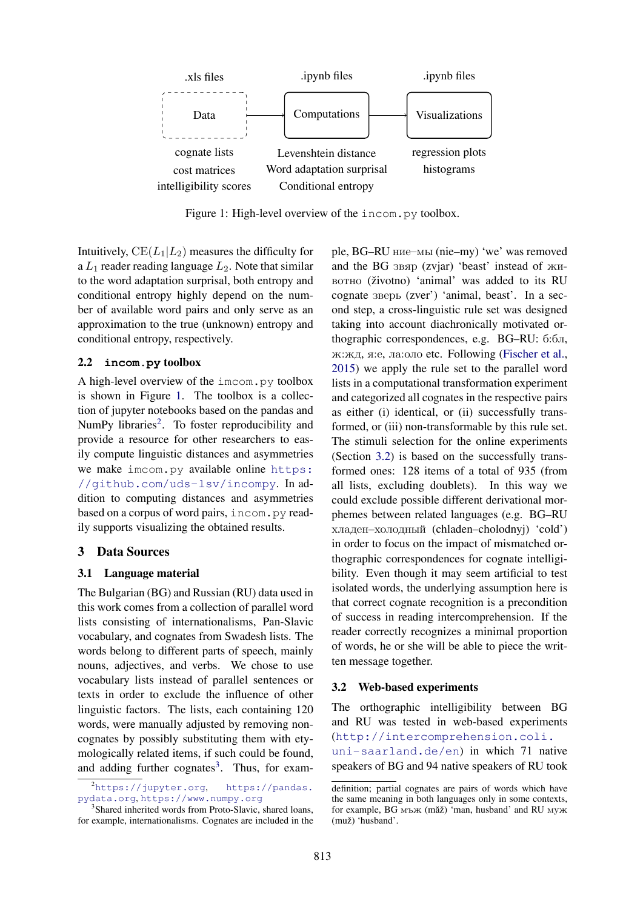<span id="page-3-1"></span>

Figure 1: High-level overview of the incom.py toolbox.

Intuitively,  $CE(L_1|L_2)$  measures the difficulty for a  $L_1$  reader reading language  $L_2$ . Note that similar to the word adaptation surprisal, both entropy and conditional entropy highly depend on the number of available word pairs and only serve as an approximation to the true (unknown) entropy and conditional entropy, respectively.

### 2.2 **incom.py** toolbox

A high-level overview of the imcom.py toolbox is shown in Figure [1](#page-3-1). The toolbox is a collection of jupyter notebooks based on the pandas and NumPy libraries<sup>2</sup>. To foster reproducibility and provide a resource for other researchers to easily compute linguistic distances and asymmetries we make imcom.py available online [h](https://github.com/uds-lsv/incompy)ttps: //github.com/uds-lsv/incompy. In addition to computing distances and asymmetries based on a corpus of word pairs, incom.py readily supports visualizing the obtained results.

# <span id="page-3-0"></span>3 Data Sources

### 3.1 Language material

The Bulgarian (BG) and Russian (RU) data used in this work comes from a collection of parallel word lists consisting of internationalisms, Pan-Slavic vocabulary, and cognates from Swadesh lists. The words belong to different parts of speech, mainly nouns, adjectives, and verbs. We chose to use vocabulary lists instead of parallel sentences or texts in order to exclude the influence of other linguistic factors. The lists, each containing 120 words, were manually adjusted by removing noncognates by possibly substituting them with etymologically related items, if such could be found, and adding further cognates<sup>3</sup>. Thus, for example, BG–RU ние–мы (nie–my) 'we' was removed and the BG звяр (zvjar) 'beast' instead of животно (životno) 'animal' was added to its RU cognate зверь (zver') 'animal, beast'. In a second step, a cross-linguistic rule set was designed taking into account diachronically motivated orthographic correspondences, e.g. BG–RU: б:бл, ж:жд, я:е, ла:оло etc. Following ([Fischer](#page-8-2) et al., [2015](#page-8-2)) we apply the rule set to the parallel word lists in a computational transformation experiment and categorized all cognates in the respective pairs as either (i) identical, or (ii) successfully transformed, or (iii) non-transformable by this rule set. The stimuli selection for the online experiments (Section [3.2\)](#page-3-4) is based on the successfully transformed ones: 128 items of a total of 935 (from all lists, excluding doublets). In this way we could exclude possible different derivational morphemes between related languages (e.g. BG–RU хладен–холодный (chladen–cholodnyj) 'cold') in order to focus on the impact of mismatched orthographic correspondences for cognate intelligibility. Even though it may seem artificial to test isolated words, the underlying assumption here is that correct cognate recognition is a precondition of success in reading intercomprehension. If the reader correctly recognizes a minimal proportion of words, he or she will be able to piece the written message together.

#### <span id="page-3-4"></span>3.2 Web-based experiments

The orthographic intelligibility between BG and RU was tested in web-based experiments ([http://intercompre](http://intercomprehension.coli.uni-saarland.de/en)hension.coli. uni-saarland.de/en) in which 71 native speakers of BG and 94 native speakers of RU took

<span id="page-3-2"></span><sup>2</sup> <https://jupyter.org>, https://pandas. pydata.org, <https://www.numpy.org>

<span id="page-3-3"></span><sup>&</sup>lt;sup>3</sup>Shared inherited words from Proto-Slavic, shared loans, for example, internationalisms. Cognates are included in the

definition; partial cognates are pairs of words which have the same meaning in both languages only in some contexts, for example, BG мъж (maž) 'man, husband' and RU муж (muž) 'husband'.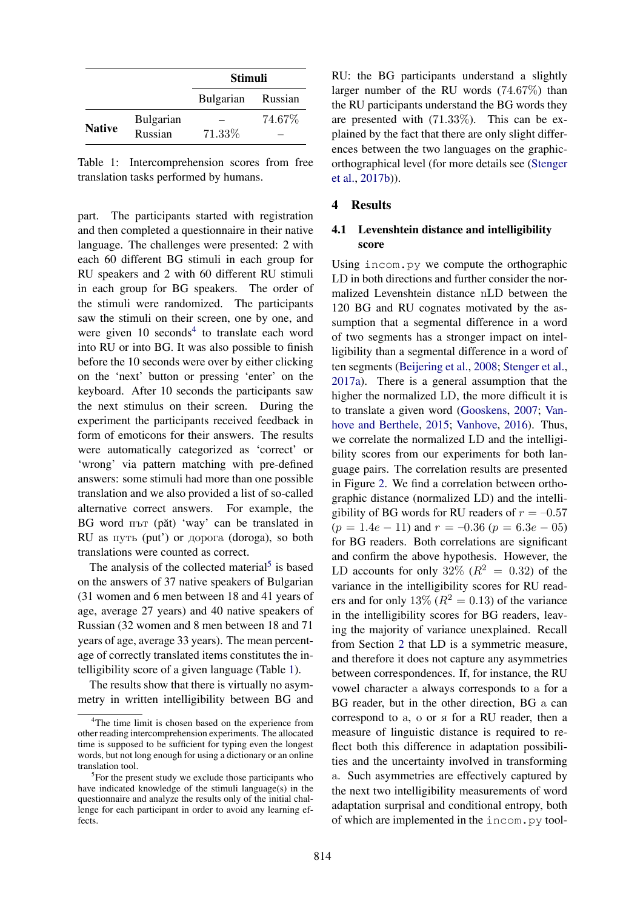<span id="page-4-3"></span>

|               |           | <b>Stimuli</b>   |         |
|---------------|-----------|------------------|---------|
|               |           | <b>Bulgarian</b> | Russian |
| <b>Native</b> | Bulgarian |                  | 74.67%  |
|               | Russian   | 71.33%           |         |

Table 1: Intercomprehension scores from free translation tasks performed by humans.

part. The participants started with registration and then completed a questionnaire in their native language. The challenges were presented: 2 with each 60 different BG stimuli in each group for RU speakers and 2 with 60 different RU stimuli in each group for BG speakers. The order of the stimuli were randomized. The participants saw the stimuli on their screen, one by one, and were given  $10$  seconds<sup>[4](#page-4-1)</sup> to translate each word into RU or into BG. It was also possible to finish before the 10 seconds were over by either clicking on the 'next' button or pressing 'enter' on the keyboard. After 10 seconds the participants saw the next stimulus on their screen. During the experiment the participants received feedback in form of emoticons for their answers. The results were automatically categorized as 'correct' or 'wrong' via pattern matching with pre-defined answers: some stimuli had more than one possible translation and we also provided a list of so-called alternative correct answers. For example, the В $G$  word път (p $\check{a}$ t) 'way' can be translated in RU as путь (put') or дорога (doroga), so both translations were counted as correct.

The analysis of the collected material<sup>[5](#page-4-2)</sup> is based on the answers of 37 native speakers of Bulgarian (31 women and 6 men between 18 and 41 years of age, average 27 years) and 40 native speakers of Russian (32 women and 8 men between 18 and 71 years of age, average 33 years). The mean percentage of correctly translated items constitutes the intelligibility score of a given language (Table [1\)](#page-4-3).

The results show that there is virtually no asymmetry in written intelligibility between BG and RU: the BG participants understand a slightly larger number of the RU words (74*.*67%) than the RU participants understand the BG words they are presented with (71*.*33%). This can be explained by the fact that there are only slight differences between the two languages on the graphicorth[ographical](#page-8-5) level (for more details see (Stenger et al., [2017b](#page-8-5))).

### <span id="page-4-0"></span>4 Results

# 4.1 Levenshtein distance and intelligibility score

Using incom.py we compute the orthographic LD in both directions and further consider the normalized Levenshtein distance nLD between the 120 BG and RU cognates motivated by the assumption that a segmental difference in a word of two segments has a stronger impact on intelligibility than a segmental difference in a word of ten segments ([Beijering](#page-8-7) et al., [2008;](#page-8-7) [Stenger](#page-8-4) et al., [2017a\)](#page-8-4). There is a general assumption that the higher the normalized LD, the more difficult it is to translate a given word [\(G](#page-8-13)[ooskens](#page-8-8)[,](#page-8-13) [2007](#page-8-8); Vanhove and Berthele, [2015](#page-8-13); [Vanhove,](#page-8-9) [2016\)](#page-8-9). Thus, we correlate the normalized LD and the intelligibility scores from our experiments for both language pairs. The correlation results are presented in Figure [2](#page-5-0). We find a correlation between orthographic distance (normalized LD) and the intelligibility of BG words for RU readers of  $r = -0.57$  $(p = 1.4e - 11)$  and  $r = -0.36$   $(p = 6.3e - 05)$ for BG readers. Both correlations are significant and confirm the above hypothesis. However, the LD accounts for only  $32\%$  ( $R^2 = 0.32$ ) of the variance in the intelligibility scores for RU readers and for only  $13\%$  ( $R^2 = 0.13$ ) of the variance in the intelligibility scores for BG readers, leaving the majority of variance unexplained. Recall from Section [2](#page-1-0) that LD is a symmetric measure, and therefore it does not capture any asymmetries between correspondences. If, for instance, the RU vowel character a always corresponds to a for a BG reader, but in the other direction, BG a can correspond to  $a$ ,  $o$  or  $\pi$  for a RU reader, then a measure of linguistic distance is required to reflect both this difference in adaptation possibilities and the uncertainty involved in transforming a. Such asymmetries are effectively captured by the next two intelligibility measurements of word adaptation surprisal and conditional entropy, both of which are implemented in the incom.py tool-

<span id="page-4-1"></span><sup>&</sup>lt;sup>4</sup>The time limit is chosen based on the experience from other reading intercomprehension experiments. The allocated time is supposed to be sufficient for typing even the longest words, but not long enough for using a dictionary or an online translation tool.

<span id="page-4-2"></span><sup>&</sup>lt;sup>5</sup>For the present study we exclude those participants who have indicated knowledge of the stimuli language(s) in the questionnaire and analyze the results only of the initial challenge for each participant in order to avoid any learning effects.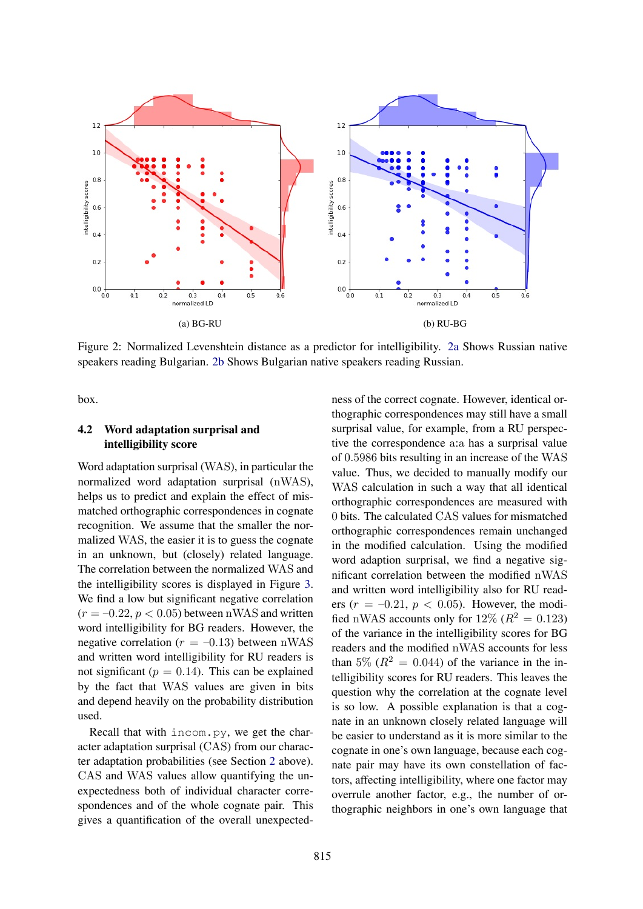<span id="page-5-0"></span>

Figure 2: Normalized Levenshtein distance as a predictor for intelligibility. [2a](#page-5-0) Shows Russian native speakers reading Bulgarian. [2b](#page-5-0) Shows Bulgarian native speakers reading Russian.

box.

### 4.2 Word adaptation surprisal and intelligibility score

Word adaptation surprisal (WAS), in particular the normalized word adaptation surprisal (nWAS), helps us to predict and explain the effect of mismatched orthographic correspondences in cognate recognition. We assume that the smaller the normalized WAS, the easier it is to guess the cognate in an unknown, but (closely) related language. The correlation between the normalized WAS and the intelligibility scores is displayed in Figure [3.](#page-6-0) We find a low but significant negative correlation  $(r = -0.22, p < 0.05)$  between nWAS and written word intelligibility for BG readers. However, the negative correlation  $(r = -0.13)$  between nWAS and written word intelligibility for RU readers is not significant ( $p = 0.14$ ). This can be explained by the fact that WAS values are given in bits and depend heavily on the probability distribution used.

Recall that with incom.py, we get the character adaptation surprisal (CAS) from our character adaptation probabilities (see Section [2](#page-1-0) above). CAS and WAS values allow quantifying the unexpectedness both of individual character correspondences and of the whole cognate pair. This gives a quantification of the overall unexpectedness of the correct cognate. However, identical orthographic correspondences may still have a small surprisal value, for example, from a RU perspective the correspondence a:a has a surprisal value of 0*.*5986 bits resulting in an increase of the WAS value. Thus, we decided to manually modify our WAS calculation in such a way that all identical orthographic correspondences are measured with 0 bits. The calculated CAS values for mismatched orthographic correspondences remain unchanged in the modified calculation. Using the modified word adaption surprisal, we find a negative significant correlation between the modified nWAS and written word intelligibility also for RU readers ( $r = -0.21$ ,  $p < 0.05$ ). However, the modified nWAS accounts only for  $12\%$  ( $R^2 = 0.123$ ) of the variance in the intelligibility scores for BG readers and the modified nWAS accounts for less than 5%  $(R^2 = 0.044)$  of the variance in the intelligibility scores for RU readers. This leaves the question why the correlation at the cognate level is so low. A possible explanation is that a cognate in an unknown closely related language will be easier to understand as it is more similar to the cognate in one's own language, because each cognate pair may have its own constellation of factors, affecting intelligibility, where one factor may overrule another factor, e.g., the number of orthographic neighbors in one's own language that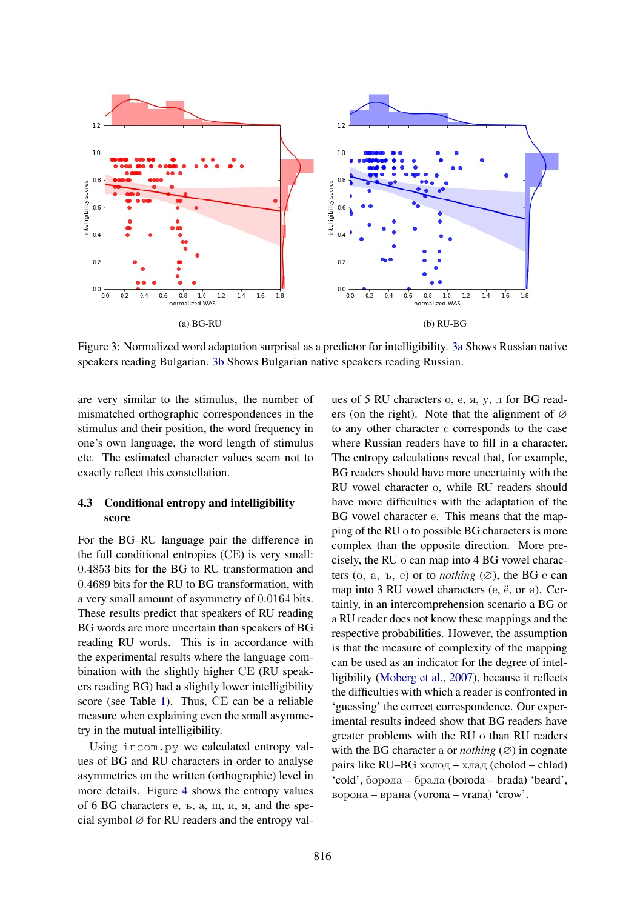<span id="page-6-0"></span>

Figure 3: Normalized word adaptation surprisal as a predictor for intelligibility. [3a](#page-6-0) Shows Russian native speakers reading Bulgarian. [3b](#page-6-0) Shows Bulgarian native speakers reading Russian.

are very similar to the stimulus, the number of mismatched orthographic correspondences in the stimulus and their position, the word frequency in one's own language, the word length of stimulus etc. The estimated character values seem not to exactly reflect this constellation.

# 4.3 Conditional entropy and intelligibility score

For the BG–RU language pair the difference in the full conditional entropies (CE) is very small: 0*.*4853 bits for the BG to RU transformation and 0*.*4689 bits for the RU to BG transformation, with a very small amount of asymmetry of 0*.*0164 bits. These results predict that speakers of RU reading BG words are more uncertain than speakers of BG reading RU words. This is in accordance with the experimental results where the language combination with the slightly higher CE (RU speakers reading BG) had a slightly lower intelligibility score (see Table [1\)](#page-4-3). Thus, CE can be a reliable measure when explaining even the small asymmetry in the mutual intelligibility.

Using incom.py we calculated entropy values of BG and RU characters in order to analyse asymmetries on the written (orthographic) level in more details. Figure [4](#page-7-1) shows the entropy values of 6 BG characters  $e, \, t$ ,  $a, \, u, \, u, \, s$ , and the special symbol  $\varnothing$  for RU readers and the entropy val-

ues of 5 RU characters о, е, я, у, л for BG readers (on the right). Note that the alignment of  $\varnothing$ to any other character *c* corresponds to the case where Russian readers have to fill in a character. The entropy calculations reveal that, for example, BG readers should have more uncertainty with the RU vowel character о, while RU readers should have more difficulties with the adaptation of the BG vowel character e. This means that the mapping of the RU о to possible BG characters is more complex than the opposite direction. More precisely, the RU о can map into 4 BG vowel characters (о, а, ъ, е) or to *nothing* ( $\varnothing$ ), the BG e can map into 3 RU vowel characters  $(e, \ddot{e}, \text{or } a)$ . Certainly, in an intercomprehension scenario a BG or a RU reader does not know these mappings and the respective probabilities. However, the assumption is that the measure of complexity of the mapping can be used as an indicator for the degree of intelligibility ([Moberg](#page-8-14) et al., [2007\)](#page-8-14), because it reflects the difficulties with which a reader is confronted in 'guessing' the correct correspondence. Our experimental results indeed show that BG readers have greater problems with the RU o than RU readers with the BG character a or *nothing*  $(\emptyset)$  in cognate pairs like RU–BG холод – хлад (cholod – chlad) 'cold', борода – брада (boroda – brada) 'beard', ворона – врана (vorona – vrana) ' $\text{crow}$ '.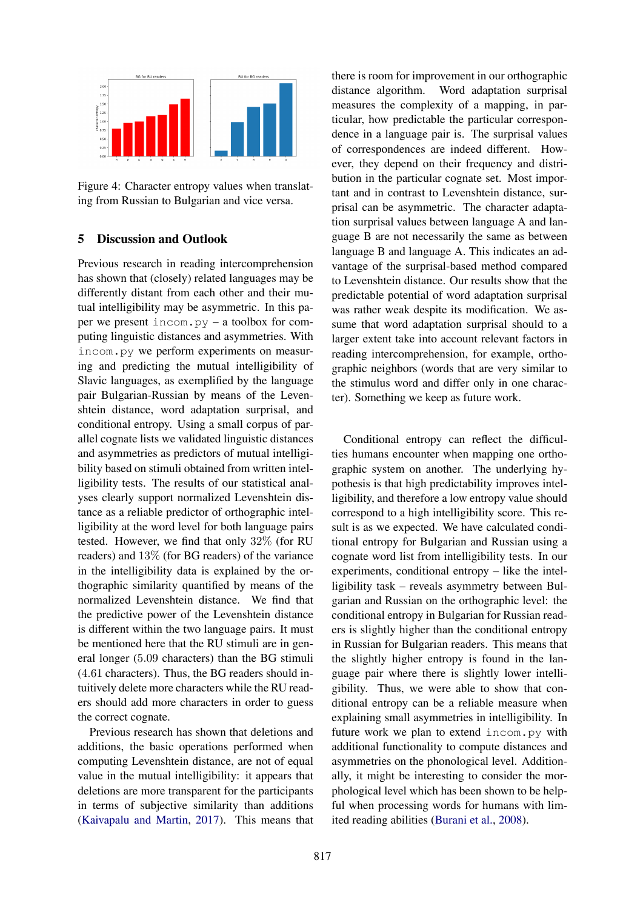<span id="page-7-1"></span>

Figure 4: Character entropy values when translating from Russian to Bulgarian and vice versa.

# <span id="page-7-0"></span>5 Discussion and Outlook

Previous research in reading intercomprehension has shown that (closely) related languages may be differently distant from each other and their mutual intelligibility may be asymmetric. In this paper we present incom.py – a toolbox for computing linguistic distances and asymmetries. With incom.py we perform experiments on measuring and predicting the mutual intelligibility of Slavic languages, as exemplified by the language pair Bulgarian-Russian by means of the Levenshtein distance, word adaptation surprisal, and conditional entropy. Using a small corpus of parallel cognate lists we validated linguistic distances and asymmetries as predictors of mutual intelligibility based on stimuli obtained from written intelligibility tests. The results of our statistical analyses clearly support normalized Levenshtein distance as a reliable predictor of orthographic intelligibility at the word level for both language pairs tested. However, we find that only 32% (for RU readers) and 13% (for BG readers) of the variance in the intelligibility data is explained by the orthographic similarity quantified by means of the normalized Levenshtein distance. We find that the predictive power of the Levenshtein distance is different within the two language pairs. It must be mentioned here that the RU stimuli are in general longer (5*.*09 characters) than the BG stimuli (4*.*61 characters). Thus, the BG readers should intuitively delete more characters while the RU readers should add more characters in order to guess the correct cognate.

Previous research has shown that deletions and additions, the basic operations performed when computing Levenshtein distance, are not of equal value in the mutual intelligibility: it appears that deletions are more transparent for the participants in terms of subjective similarity than additions ([Kaivapalu](#page-8-15) and Martin, [2017](#page-8-15)). This means that there is room for improvement in our orthographic distance algorithm. Word adaptation surprisal measures the complexity of a mapping, in particular, how predictable the particular correspondence in a language pair is. The surprisal values of correspondences are indeed different. However, they depend on their frequency and distribution in the particular cognate set. Most important and in contrast to Levenshtein distance, surprisal can be asymmetric. The character adaptation surprisal values between language A and language B are not necessarily the same as between language B and language A. This indicates an advantage of the surprisal-based method compared to Levenshtein distance. Our results show that the predictable potential of word adaptation surprisal was rather weak despite its modification. We assume that word adaptation surprisal should to a larger extent take into account relevant factors in reading intercomprehension, for example, orthographic neighbors (words that are very similar to the stimulus word and differ only in one character). Something we keep as future work.

Conditional entropy can reflect the difficulties humans encounter when mapping one orthographic system on another. The underlying hypothesis is that high predictability improves intelligibility, and therefore a low entropy value should correspond to a high intelligibility score. This result is as we expected. We have calculated conditional entropy for Bulgarian and Russian using a cognate word list from intelligibility tests. In our experiments, conditional entropy – like the intelligibility task – reveals asymmetry between Bulgarian and Russian on the orthographic level: the conditional entropy in Bulgarian for Russian readers is slightly higher than the conditional entropy in Russian for Bulgarian readers. This means that the slightly higher entropy is found in the language pair where there is slightly lower intelligibility. Thus, we were able to show that conditional entropy can be a reliable measure when explaining small asymmetries in intelligibility. In future work we plan to extend incom.py with additional functionality to compute distances and asymmetries on the phonological level. Additionally, it might be interesting to consider the morphological level which has been shown to be helpful when processing words for humans with limited reading abilities ([Burani](#page-8-16) et al., [2008\)](#page-8-16).